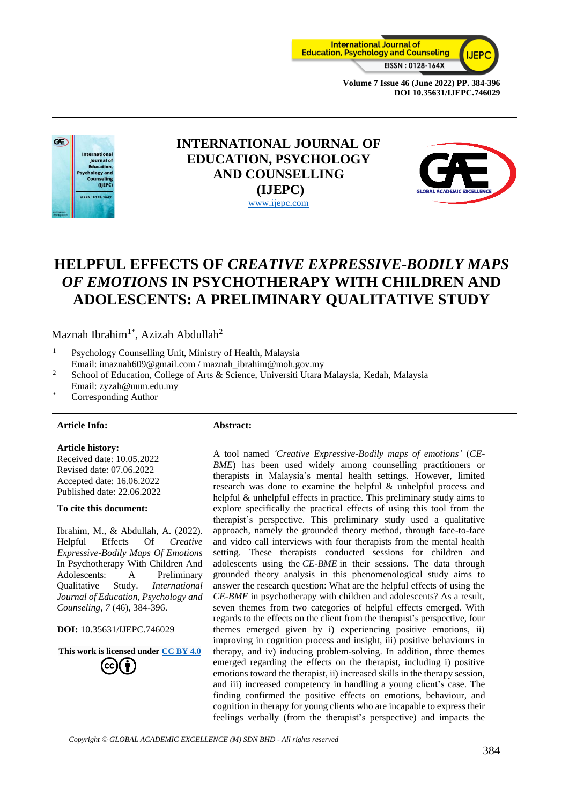



# **INTERNATIONAL JOURNAL OF EDUCATION, PSYCHOLOGY AND COUNSELLING (IJEPC)** [www.ijepc.com](http://www.ijepc.com/)



# **HELPFUL EFFECTS OF** *CREATIVE EXPRESSIVE-BODILY MAPS OF EMOTIONS* **IN PSYCHOTHERAPY WITH CHILDREN AND ADOLESCENTS: A PRELIMINARY QUALITATIVE STUDY**

Maznah Ibrahim<sup>1\*</sup>, Azizah Abdullah<sup>2</sup>

- <sup>1</sup> Psychology Counselling Unit, Ministry of Health, Malaysia Email: imaznah609@gmail.com / maznah\_ibrahim@moh.gov.my
- <sup>2</sup> School of Education, College of Arts & Science, Universiti Utara Malaysia, Kedah, Malaysia Email: zyzah@uum.edu.my
- Corresponding Author

#### **Article Info: Abstract:**

#### **Article history:**

Received date: 10.05.2022 Revised date: 07.06.2022 Accepted date: 16.06.2022 Published date: 22.06.2022

#### **To cite this document:**

Ibrahim, M., & Abdullah, A. (2022). Helpful Effects Of *Creative Expressive-Bodily Maps Of Emotions* In Psychotherapy With Children And Adolescents: A Preliminary Qualitative Study. *International Journal of Education, Psychology and Counseling, 7* (46), 384-396.

**DOI:** 10.35631/IJEPC.746029

**This work is licensed under [CC BY 4.0](https://creativecommons.org/licenses/by/4.0/?ref=chooser-v1)**

A tool named *'Creative Expressive-Bodily maps of emotions'* (*CE-BME*) has been used widely among counselling practitioners or therapists in Malaysia's mental health settings. However, limited research was done to examine the helpful & unhelpful process and helpful & unhelpful effects in practice. This preliminary study aims to explore specifically the practical effects of using this tool from the therapist's perspective. This preliminary study used a qualitative approach, namely the grounded theory method, through face-to-face and video call interviews with four therapists from the mental health setting. These therapists conducted sessions for children and adolescents using the *CE-BME* in their sessions. The data through grounded theory analysis in this phenomenological study aims to answer the research question: What are the helpful effects of using the *CE-BME* in psychotherapy with children and adolescents? As a result, seven themes from two categories of helpful effects emerged. With regards to the effects on the client from the therapist's perspective, four themes emerged given by i) experiencing positive emotions, ii) improving in cognition process and insight, iii) positive behaviours in therapy, and iv) inducing problem-solving. In addition, three themes emerged regarding the effects on the therapist, including i) positive emotions toward the therapist, ii) increased skills in the therapy session, and iii) increased competency in handling a young client's case. The finding confirmed the positive effects on emotions, behaviour, and cognition in therapy for young clients who are incapable to express their feelings verbally (from the therapist's perspective) and impacts the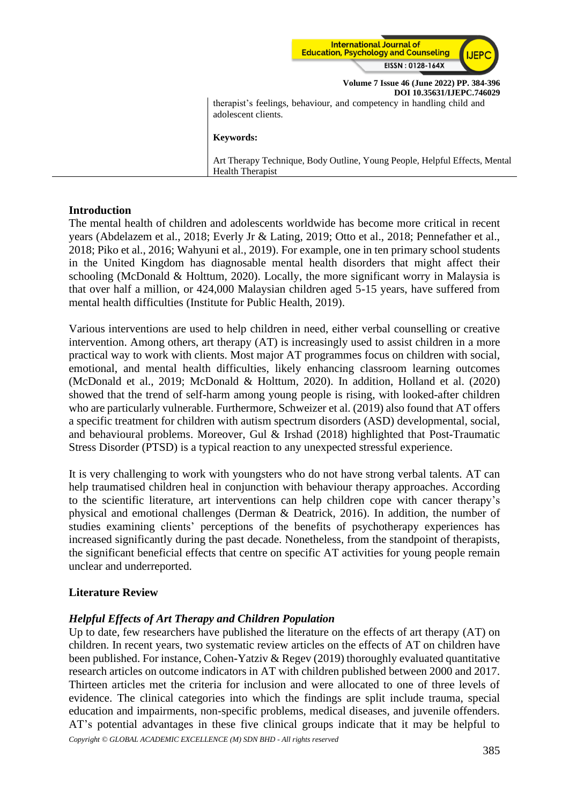

**Volume 7 Issue 46 (June 2022) PP. 384-396 DOI 10.35631/IJEPC.746029** therapist's feelings, behaviour, and competency in handling child and adolescent clients. **Keywords:** Art Therapy Technique, Body Outline, Young People, Helpful Effects, Mental Health Therapist

# **Introduction**

The mental health of children and adolescents worldwide has become more critical in recent years (Abdelazem et al., 2018; Everly Jr & Lating, 2019; Otto et al., 2018; Pennefather et al., 2018; Piko et al., 2016; Wahyuni et al., 2019). For example, one in ten primary school students in the United Kingdom has diagnosable mental health disorders that might affect their schooling (McDonald & Holttum, 2020). Locally, the more significant worry in Malaysia is that over half a million, or 424,000 Malaysian children aged 5-15 years, have suffered from mental health difficulties (Institute for Public Health, 2019).

Various interventions are used to help children in need, either verbal counselling or creative intervention. Among others, art therapy (AT) is increasingly used to assist children in a more practical way to work with clients. Most major AT programmes focus on children with social, emotional, and mental health difficulties, likely enhancing classroom learning outcomes (McDonald et al., 2019; McDonald & Holttum, 2020). In addition, Holland et al. (2020) showed that the trend of self-harm among young people is rising, with looked-after children who are particularly vulnerable. Furthermore, Schweizer et al. (2019) also found that AT offers a specific treatment for children with autism spectrum disorders (ASD) developmental, social, and behavioural problems. Moreover, Gul  $\&$  Irshad (2018) highlighted that Post-Traumatic Stress Disorder (PTSD) is a typical reaction to any unexpected stressful experience.

It is very challenging to work with youngsters who do not have strong verbal talents. AT can help traumatised children heal in conjunction with behaviour therapy approaches. According to the scientific literature, art interventions can help children cope with cancer therapy's physical and emotional challenges (Derman & Deatrick, 2016). In addition, the number of studies examining clients' perceptions of the benefits of psychotherapy experiences has increased significantly during the past decade. Nonetheless, from the standpoint of therapists, the significant beneficial effects that centre on specific AT activities for young people remain unclear and underreported.

# **Literature Review**

### *Helpful Effects of Art Therapy and Children Population*

*Copyright © GLOBAL ACADEMIC EXCELLENCE (M) SDN BHD - All rights reserved* Up to date, few researchers have published the literature on the effects of art therapy (AT) on children. In recent years, two systematic review articles on the effects of AT on children have been published. For instance, Cohen-Yatziv & Regev (2019) thoroughly evaluated quantitative research articles on outcome indicators in AT with children published between 2000 and 2017. Thirteen articles met the criteria for inclusion and were allocated to one of three levels of evidence. The clinical categories into which the findings are split include trauma, special education and impairments, non-specific problems, medical diseases, and juvenile offenders. AT's potential advantages in these five clinical groups indicate that it may be helpful to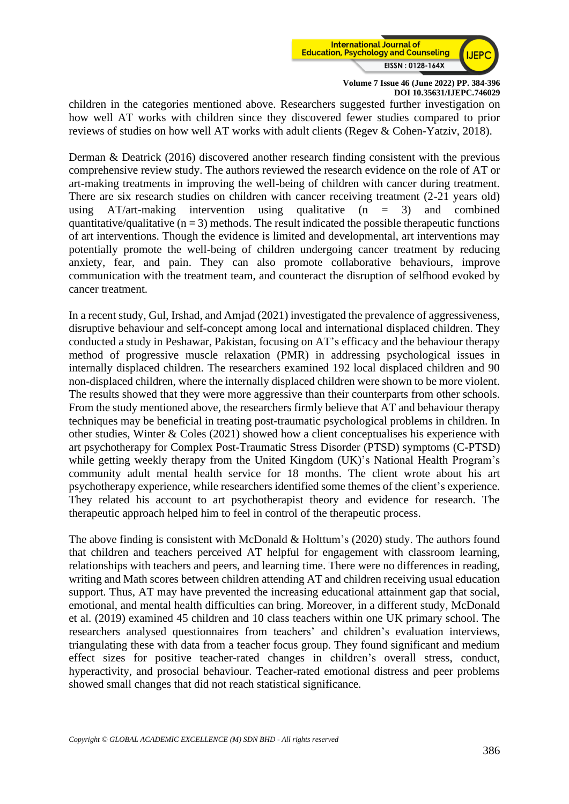

children in the categories mentioned above. Researchers suggested further investigation on how well AT works with children since they discovered fewer studies compared to prior reviews of studies on how well AT works with adult clients (Regev & Cohen-Yatziv, 2018).

Derman & Deatrick (2016) discovered another research finding consistent with the previous comprehensive review study. The authors reviewed the research evidence on the role of AT or art-making treatments in improving the well-being of children with cancer during treatment. There are six research studies on children with cancer receiving treatment (2-21 years old) using  $AT/art-making$  intervention using qualitative (n = 3) and combined quantitative/qualitative  $(n = 3)$  methods. The result indicated the possible therapeutic functions of art interventions. Though the evidence is limited and developmental, art interventions may potentially promote the well-being of children undergoing cancer treatment by reducing anxiety, fear, and pain. They can also promote collaborative behaviours, improve communication with the treatment team, and counteract the disruption of selfhood evoked by cancer treatment.

In a recent study, Gul, Irshad, and Amjad (2021) investigated the prevalence of aggressiveness, disruptive behaviour and self-concept among local and international displaced children. They conducted a study in Peshawar, Pakistan, focusing on AT's efficacy and the behaviour therapy method of progressive muscle relaxation (PMR) in addressing psychological issues in internally displaced children. The researchers examined 192 local displaced children and 90 non-displaced children, where the internally displaced children were shown to be more violent. The results showed that they were more aggressive than their counterparts from other schools. From the study mentioned above, the researchers firmly believe that AT and behaviour therapy techniques may be beneficial in treating post-traumatic psychological problems in children. In other studies, Winter & Coles (2021) showed how a client conceptualises his experience with art psychotherapy for Complex Post-Traumatic Stress Disorder (PTSD) symptoms (C-PTSD) while getting weekly therapy from the United Kingdom (UK)'s National Health Program's community adult mental health service for 18 months. The client wrote about his art psychotherapy experience, while researchers identified some themes of the client's experience. They related his account to art psychotherapist theory and evidence for research. The therapeutic approach helped him to feel in control of the therapeutic process.

The above finding is consistent with McDonald & Holttum's (2020) study. The authors found that children and teachers perceived AT helpful for engagement with classroom learning, relationships with teachers and peers, and learning time. There were no differences in reading, writing and Math scores between children attending AT and children receiving usual education support. Thus, AT may have prevented the increasing educational attainment gap that social, emotional, and mental health difficulties can bring. Moreover, in a different study, McDonald et al. (2019) examined 45 children and 10 class teachers within one UK primary school. The researchers analysed questionnaires from teachers' and children's evaluation interviews, triangulating these with data from a teacher focus group. They found significant and medium effect sizes for positive teacher-rated changes in children's overall stress, conduct, hyperactivity, and prosocial behaviour. Teacher-rated emotional distress and peer problems showed small changes that did not reach statistical significance.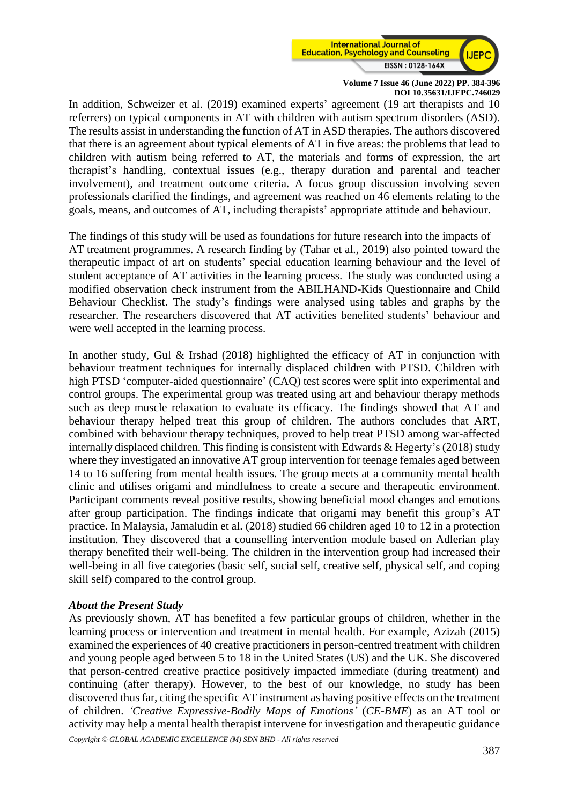

In addition, Schweizer et al. (2019) examined experts' agreement (19 art therapists and 10 referrers) on typical components in AT with children with autism spectrum disorders (ASD). The results assist in understanding the function of AT in ASD therapies. The authors discovered that there is an agreement about typical elements of AT in five areas: the problems that lead to children with autism being referred to AT, the materials and forms of expression, the art therapist's handling, contextual issues (e.g., therapy duration and parental and teacher involvement), and treatment outcome criteria. A focus group discussion involving seven professionals clarified the findings, and agreement was reached on 46 elements relating to the goals, means, and outcomes of AT, including therapists' appropriate attitude and behaviour.

The findings of this study will be used as foundations for future research into the impacts of AT treatment programmes. A research finding by (Tahar et al., 2019) also pointed toward the therapeutic impact of art on students' special education learning behaviour and the level of student acceptance of AT activities in the learning process. The study was conducted using a modified observation check instrument from the ABILHAND-Kids Questionnaire and Child Behaviour Checklist. The study's findings were analysed using tables and graphs by the researcher. The researchers discovered that AT activities benefited students' behaviour and were well accepted in the learning process.

In another study, Gul & Irshad (2018) highlighted the efficacy of AT in conjunction with behaviour treatment techniques for internally displaced children with PTSD. Children with high PTSD 'computer-aided questionnaire' (CAQ) test scores were split into experimental and control groups. The experimental group was treated using art and behaviour therapy methods such as deep muscle relaxation to evaluate its efficacy. The findings showed that AT and behaviour therapy helped treat this group of children. The authors concludes that ART, combined with behaviour therapy techniques, proved to help treat PTSD among war-affected internally displaced children. This finding is consistent with Edwards & Hegerty's  $(2018)$  study where they investigated an innovative AT group intervention for teenage females aged between 14 to 16 suffering from mental health issues. The group meets at a community mental health clinic and utilises origami and mindfulness to create a secure and therapeutic environment. Participant comments reveal positive results, showing beneficial mood changes and emotions after group participation. The findings indicate that origami may benefit this group's AT practice. In Malaysia, Jamaludin et al. (2018) studied 66 children aged 10 to 12 in a protection institution. They discovered that a counselling intervention module based on Adlerian play therapy benefited their well-being. The children in the intervention group had increased their well-being in all five categories (basic self, social self, creative self, physical self, and coping skill self) compared to the control group.

### *About the Present Study*

As previously shown, AT has benefited a few particular groups of children, whether in the learning process or intervention and treatment in mental health. For example, Azizah (2015) examined the experiences of 40 creative practitioners in person-centred treatment with children and young people aged between 5 to 18 in the United States (US) and the UK. She discovered that person-centred creative practice positively impacted immediate (during treatment) and continuing (after therapy). However, to the best of our knowledge, no study has been discovered thus far, citing the specific AT instrument as having positive effects on the treatment of children. *'Creative Expressive-Bodily Maps of Emotions'* (*CE-BME*) as an AT tool or activity may help a mental health therapist intervene for investigation and therapeutic guidance

*Copyright © GLOBAL ACADEMIC EXCELLENCE (M) SDN BHD - All rights reserved*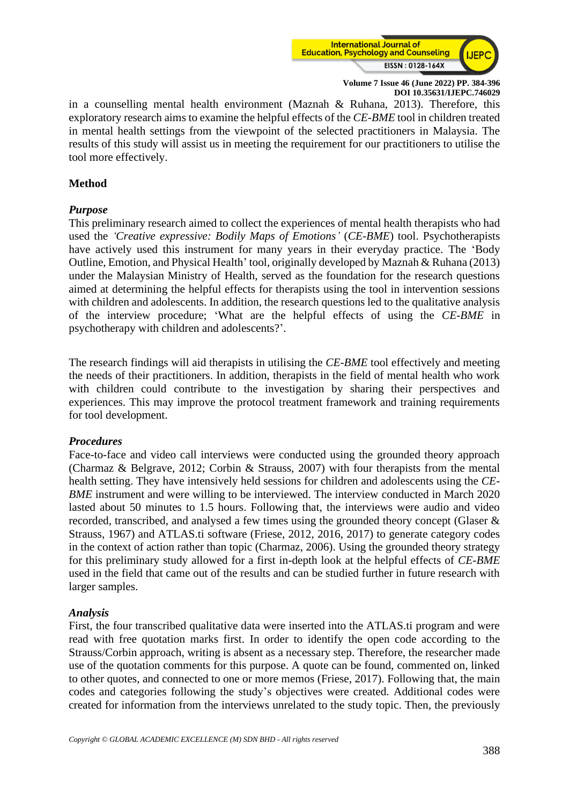

in a counselling mental health environment (Maznah & Ruhana, 2013). Therefore, this exploratory research aims to examine the helpful effects of the *CE-BME* tool in children treated in mental health settings from the viewpoint of the selected practitioners in Malaysia. The results of this study will assist us in meeting the requirement for our practitioners to utilise the tool more effectively.

### **Method**

# *Purpose*

This preliminary research aimed to collect the experiences of mental health therapists who had used the *'Creative expressive: Bodily Maps of Emotions'* (*CE-BME*) tool. Psychotherapists have actively used this instrument for many years in their everyday practice. The 'Body Outline, Emotion, and Physical Health' tool, originally developed by Maznah & Ruhana (2013) under the Malaysian Ministry of Health, served as the foundation for the research questions aimed at determining the helpful effects for therapists using the tool in intervention sessions with children and adolescents. In addition, the research questions led to the qualitative analysis of the interview procedure; 'What are the helpful effects of using the *CE-BME* in psychotherapy with children and adolescents?'.

The research findings will aid therapists in utilising the *CE-BME* tool effectively and meeting the needs of their practitioners. In addition, therapists in the field of mental health who work with children could contribute to the investigation by sharing their perspectives and experiences. This may improve the protocol treatment framework and training requirements for tool development.

### *Procedures*

Face-to-face and video call interviews were conducted using the grounded theory approach (Charmaz & Belgrave, 2012; Corbin & Strauss, 2007) with four therapists from the mental health setting. They have intensively held sessions for children and adolescents using the *CE-BME* instrument and were willing to be interviewed. The interview conducted in March 2020 lasted about 50 minutes to 1.5 hours. Following that, the interviews were audio and video recorded, transcribed, and analysed a few times using the grounded theory concept (Glaser & Strauss, 1967) and ATLAS.ti software (Friese, 2012, 2016, 2017) to generate category codes in the context of action rather than topic (Charmaz, 2006). Using the grounded theory strategy for this preliminary study allowed for a first in-depth look at the helpful effects of *CE-BME* used in the field that came out of the results and can be studied further in future research with larger samples.

### *Analysis*

First, the four transcribed qualitative data were inserted into the ATLAS.ti program and were read with free quotation marks first. In order to identify the open code according to the Strauss/Corbin approach, writing is absent as a necessary step. Therefore, the researcher made use of the quotation comments for this purpose. A quote can be found, commented on, linked to other quotes, and connected to one or more memos (Friese, 2017). Following that, the main codes and categories following the study's objectives were created. Additional codes were created for information from the interviews unrelated to the study topic. Then, the previously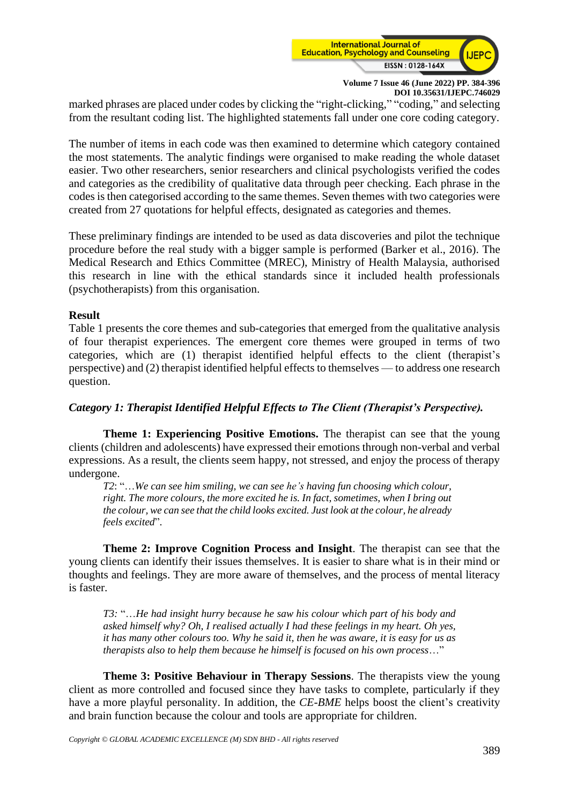

marked phrases are placed under codes by clicking the "right-clicking," "coding," and selecting from the resultant coding list. The highlighted statements fall under one core coding category.

The number of items in each code was then examined to determine which category contained the most statements. The analytic findings were organised to make reading the whole dataset easier. Two other researchers, senior researchers and clinical psychologists verified the codes and categories as the credibility of qualitative data through peer checking. Each phrase in the codes is then categorised according to the same themes. Seven themes with two categories were created from 27 quotations for helpful effects, designated as categories and themes.

These preliminary findings are intended to be used as data discoveries and pilot the technique procedure before the real study with a bigger sample is performed (Barker et al., 2016). The Medical Research and Ethics Committee (MREC), Ministry of Health Malaysia, authorised this research in line with the ethical standards since it included health professionals (psychotherapists) from this organisation.

### **Result**

Table 1 presents the core themes and sub-categories that emerged from the qualitative analysis of four therapist experiences. The emergent core themes were grouped in terms of two categories, which are (1) therapist identified helpful effects to the client (therapist's perspective) and (2) therapist identified helpful effects to themselves — to address one research question.

### *Category 1: Therapist Identified Helpful Effects to The Client (Therapist's Perspective).*

**Theme 1: Experiencing Positive Emotions.** The therapist can see that the young clients (children and adolescents) have expressed their emotions through non-verbal and verbal expressions. As a result, the clients seem happy, not stressed, and enjoy the process of therapy undergone.

*T2*: "…*We can see him smiling, we can see he's having fun choosing which colour, right. The more colours, the more excited he is. In fact, sometimes, when I bring out the colour, we can see that the child looks excited. Just look at the colour, he already feels excited*".

**Theme 2: Improve Cognition Process and Insight**. The therapist can see that the young clients can identify their issues themselves. It is easier to share what is in their mind or thoughts and feelings. They are more aware of themselves, and the process of mental literacy is faster.

*T3:* "…*He had insight hurry because he saw his colour which part of his body and asked himself why? Oh, I realised actually I had these feelings in my heart. Oh yes, it has many other colours too. Why he said it, then he was aware, it is easy for us as therapists also to help them because he himself is focused on his own process*…"

**Theme 3: Positive Behaviour in Therapy Sessions**. The therapists view the young client as more controlled and focused since they have tasks to complete, particularly if they have a more playful personality. In addition, the *CE-BME* helps boost the client's creativity and brain function because the colour and tools are appropriate for children.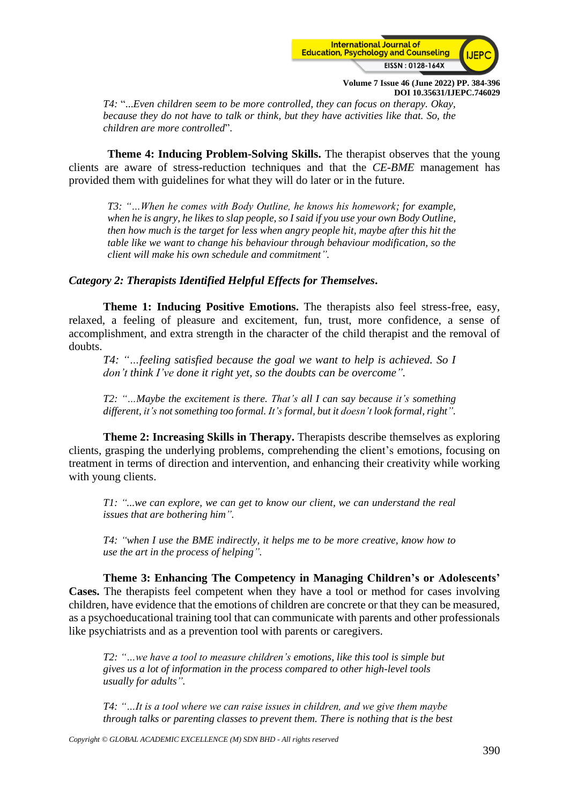

*T4:* "...*Even children seem to be more controlled, they can focus on therapy. Okay, because they do not have to talk or think, but they have activities like that. So, the children are more controlled*".

**Theme 4: Inducing Problem-Solving Skills.** The therapist observes that the young clients are aware of stress-reduction techniques and that the *CE-BME* management has provided them with guidelines for what they will do later or in the future.

*T3: "…When he comes with Body Outline, he knows his homework; for example, when he is angry, he likes to slap people, so I said if you use your own Body Outline, then how much is the target for less when angry people hit, maybe after this hit the table like we want to change his behaviour through behaviour modification, so the client will make his own schedule and commitment".* 

#### *Category 2: Therapists Identified Helpful Effects for Themselves***.**

**Theme 1: Inducing Positive Emotions.** The therapists also feel stress-free, easy, relaxed, a feeling of pleasure and excitement, fun, trust, more confidence, a sense of accomplishment, and extra strength in the character of the child therapist and the removal of doubts.

*T4: "…feeling satisfied because the goal we want to help is achieved. So I don't think I've done it right yet, so the doubts can be overcome".* 

*T2: "…Maybe the excitement is there. That's all I can say because it's something different, it's not something too formal. It's formal, but it doesn't look formal, right".* 

**Theme 2: Increasing Skills in Therapy.** Therapists describe themselves as exploring clients, grasping the underlying problems, comprehending the client's emotions, focusing on treatment in terms of direction and intervention, and enhancing their creativity while working with young clients.

*T1: "...we can explore, we can get to know our client, we can understand the real issues that are bothering him".* 

*T4: "when I use the BME indirectly, it helps me to be more creative, know how to use the art in the process of helping".*

**Theme 3: Enhancing The Competency in Managing Children's or Adolescents' Cases.** The therapists feel competent when they have a tool or method for cases involving children, have evidence that the emotions of children are concrete or that they can be measured, as a psychoeducational training tool that can communicate with parents and other professionals like psychiatrists and as a prevention tool with parents or caregivers.

*T2: "…we have a tool to measure children's emotions, like this tool is simple but gives us a lot of information in the process compared to other high-level tools usually for adults".*

*T4: "…It is a tool where we can raise issues in children, and we give them maybe through talks or parenting classes to prevent them. There is nothing that is the best* 

*Copyright © GLOBAL ACADEMIC EXCELLENCE (M) SDN BHD - All rights reserved*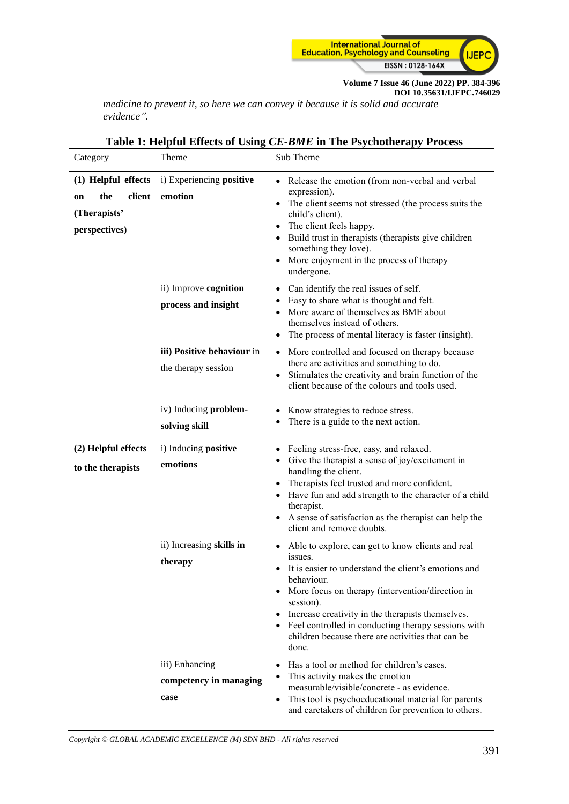

*medicine to prevent it, so here we can convey it because it is solid and accurate evidence".*

| Category                                                                    | Theme                                                                      | Sub Theme                                                                                                                                                                                                                                                                                                                                                                                        |
|-----------------------------------------------------------------------------|----------------------------------------------------------------------------|--------------------------------------------------------------------------------------------------------------------------------------------------------------------------------------------------------------------------------------------------------------------------------------------------------------------------------------------------------------------------------------------------|
| (1) Helpful effects<br>the<br>client<br>on<br>(Therapists'<br>perspectives) | i) Experiencing positive<br>emotion                                        | • Release the emotion (from non-verbal and verbal<br>expression).<br>• The client seems not stressed (the process suits the<br>child's client).<br>• The client feels happy.<br>• Build trust in therapists (therapists give children<br>something they love).<br>More enjoyment in the process of therapy<br>$\bullet$<br>undergone.                                                            |
|                                                                             | ii) Improve cognition<br>process and insight<br>iii) Positive behaviour in | Can identify the real issues of self.<br>$\bullet$<br>• Easy to share what is thought and felt.<br>• More aware of themselves as BME about<br>themselves instead of others.<br>The process of mental literacy is faster (insight).<br>٠<br>More controlled and focused on therapy because<br>$\bullet$                                                                                           |
|                                                                             | the therapy session<br>iv) Inducing problem-                               | there are activities and something to do.<br>Stimulates the creativity and brain function of the<br>$\bullet$<br>client because of the colours and tools used.<br>Know strategies to reduce stress.                                                                                                                                                                                              |
|                                                                             | solving skill                                                              | There is a guide to the next action.<br>٠                                                                                                                                                                                                                                                                                                                                                        |
| (2) Helpful effects<br>to the therapists                                    | i) Inducing <b>positive</b><br>emotions                                    | • Feeling stress-free, easy, and relaxed.<br>Give the therapist a sense of joy/excitement in<br>$\bullet$<br>handling the client.<br>• Therapists feel trusted and more confident.<br>• Have fun and add strength to the character of a child<br>therapist.<br>• A sense of satisfaction as the therapist can help the<br>client and remove doubts.                                              |
|                                                                             | ii) Increasing skills in<br>therapy                                        | • Able to explore, can get to know clients and real<br>issues.<br>It is easier to understand the client's emotions and<br>behaviour.<br>More focus on therapy (intervention/direction in<br>$\bullet$<br>session).<br>• Increase creativity in the therapists themselves.<br>• Feel controlled in conducting therapy sessions with<br>children because there are activities that can be<br>done. |
|                                                                             | iii) Enhancing<br>competency in managing<br>case                           | Has a tool or method for children's cases.<br>$\bullet$<br>This activity makes the emotion<br>measurable/visible/concrete - as evidence.<br>This tool is psychoeducational material for parents<br>$\bullet$<br>and caretakers of children for prevention to others.                                                                                                                             |

### **Table 1: Helpful Effects of Using** *CE-BME* **in The Psychotherapy Process**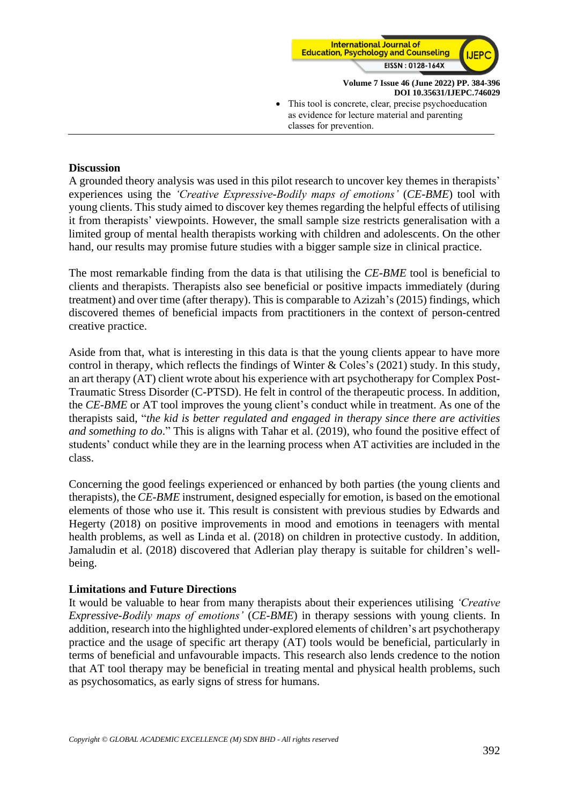

**Volume 7 Issue 46 (June 2022) PP. 384-396 DOI 10.35631/IJEPC.746029** This tool is concrete, clear, precise psychoeducation as evidence for lecture material and parenting classes for prevention.

#### **Discussion**

A grounded theory analysis was used in this pilot research to uncover key themes in therapists' experiences using the *'Creative Expressive-Bodily maps of emotions'* (*CE-BME*) tool with young clients. This study aimed to discover key themes regarding the helpful effects of utilising it from therapists' viewpoints. However, the small sample size restricts generalisation with a limited group of mental health therapists working with children and adolescents. On the other hand, our results may promise future studies with a bigger sample size in clinical practice.

The most remarkable finding from the data is that utilising the *CE-BME* tool is beneficial to clients and therapists. Therapists also see beneficial or positive impacts immediately (during treatment) and over time (after therapy). This is comparable to Azizah's (2015) findings, which discovered themes of beneficial impacts from practitioners in the context of person-centred creative practice.

Aside from that, what is interesting in this data is that the young clients appear to have more control in therapy, which reflects the findings of Winter & Coles's (2021) study. In this study, an art therapy (AT) client wrote about his experience with art psychotherapy for Complex Post-Traumatic Stress Disorder (C-PTSD). He felt in control of the therapeutic process. In addition, the *CE-BME* or AT tool improves the young client's conduct while in treatment. As one of the therapists said, "*the kid is better regulated and engaged in therapy since there are activities and something to do*." This is aligns with Tahar et al. (2019), who found the positive effect of students' conduct while they are in the learning process when AT activities are included in the class.

Concerning the good feelings experienced or enhanced by both parties (the young clients and therapists), the *CE-BME* instrument, designed especially for emotion, is based on the emotional elements of those who use it. This result is consistent with previous studies by Edwards and Hegerty (2018) on positive improvements in mood and emotions in teenagers with mental health problems, as well as Linda et al. (2018) on children in protective custody. In addition, Jamaludin et al. (2018) discovered that Adlerian play therapy is suitable for children's wellbeing.

#### **Limitations and Future Directions**

It would be valuable to hear from many therapists about their experiences utilising *'Creative Expressive-Bodily maps of emotions'* (*CE-BME*) in therapy sessions with young clients. In addition, research into the highlighted under-explored elements of children's art psychotherapy practice and the usage of specific art therapy (AT) tools would be beneficial, particularly in terms of beneficial and unfavourable impacts. This research also lends credence to the notion that AT tool therapy may be beneficial in treating mental and physical health problems, such as psychosomatics, as early signs of stress for humans.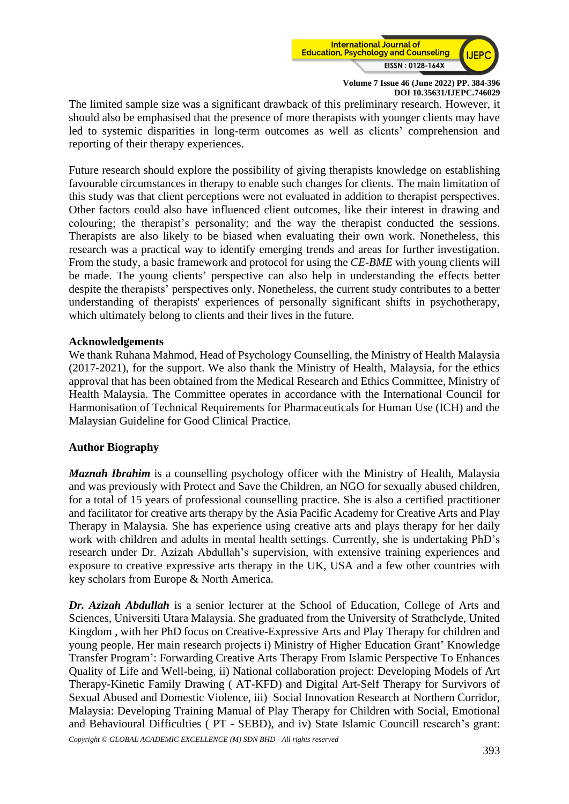

The limited sample size was a significant drawback of this preliminary research. However, it should also be emphasised that the presence of more therapists with younger clients may have led to systemic disparities in long-term outcomes as well as clients' comprehension and reporting of their therapy experiences.

Future research should explore the possibility of giving therapists knowledge on establishing favourable circumstances in therapy to enable such changes for clients. The main limitation of this study was that client perceptions were not evaluated in addition to therapist perspectives. Other factors could also have influenced client outcomes, like their interest in drawing and colouring; the therapist's personality; and the way the therapist conducted the sessions. Therapists are also likely to be biased when evaluating their own work. Nonetheless, this research was a practical way to identify emerging trends and areas for further investigation. From the study, a basic framework and protocol for using the *CE-BME* with young clients will be made. The young clients' perspective can also help in understanding the effects better despite the therapists' perspectives only. Nonetheless, the current study contributes to a better understanding of therapists' experiences of personally significant shifts in psychotherapy, which ultimately belong to clients and their lives in the future.

### **Acknowledgements**

We thank Ruhana Mahmod, Head of Psychology Counselling, the Ministry of Health Malaysia (2017-2021), for the support. We also thank the Ministry of Health, Malaysia, for the ethics approval that has been obtained from the Medical Research and Ethics Committee, Ministry of Health Malaysia. The Committee operates in accordance with the International Council for Harmonisation of Technical Requirements for Pharmaceuticals for Human Use (ICH) and the Malaysian Guideline for Good Clinical Practice.

# **Author Biography**

*Maznah Ibrahim* is a counselling psychology officer with the Ministry of Health, Malaysia and was previously with Protect and Save the Children, an NGO for sexually abused children, for a total of 15 years of professional counselling practice. She is also a certified practitioner and facilitator for creative arts therapy by the Asia Pacific Academy for Creative Arts and Play Therapy in Malaysia. She has experience using creative arts and plays therapy for her daily work with children and adults in mental health settings. Currently, she is undertaking PhD's research under Dr. Azizah Abdullah's supervision, with extensive training experiences and exposure to creative expressive arts therapy in the UK, USA and a few other countries with key scholars from Europe & North America.

*Dr. Azizah Abdullah* is a senior lecturer at the School of Education, College of Arts and Sciences, Universiti Utara Malaysia. She graduated from the University of Strathclyde, United Kingdom , with her PhD focus on Creative-Expressive Arts and Play Therapy for children and young people. Her main research projects i) Ministry of Higher Education Grant' Knowledge Transfer Program': Forwarding Creative Arts Therapy From Islamic Perspective To Enhances Quality of Life and Well-being, ii) National collaboration project: Developing Models of Art Therapy-Kinetic Family Drawing ( AT-KFD) and Digital Art-Self Therapy for Survivors of Sexual Abused and Domestic Violence, iii) Social Innovation Research at Northern Corridor, Malaysia: Developing Training Manual of Play Therapy for Children with Social, Emotional and Behavioural Difficulties ( PT - SEBD), and iv) State Islamic Councill research's grant: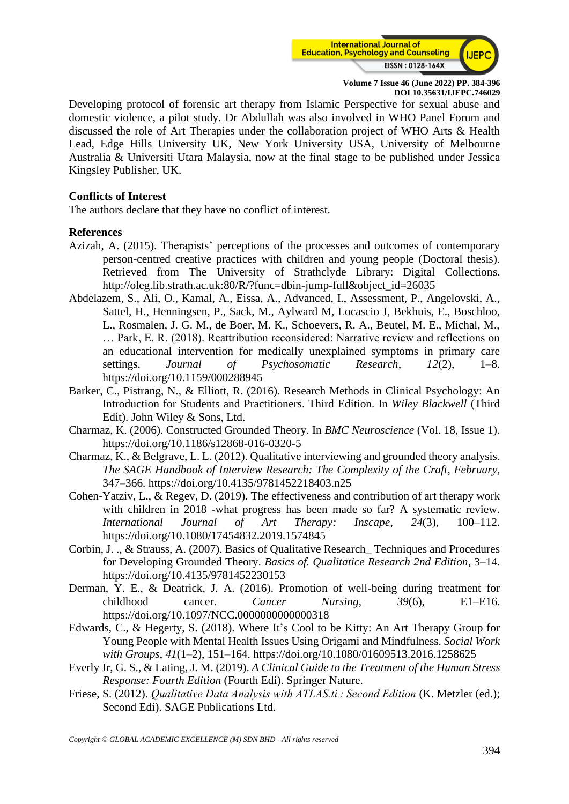

Developing protocol of forensic art therapy from Islamic Perspective for sexual abuse and domestic violence, a pilot study. Dr Abdullah was also involved in WHO Panel Forum and discussed the role of Art Therapies under the collaboration project of WHO Arts & Health Lead, Edge Hills University UK, New York University USA, University of Melbourne Australia & Universiti Utara Malaysia, now at the final stage to be published under Jessica Kingsley Publisher, UK.

#### **Conflicts of Interest**

The authors declare that they have no conflict of interest.

### **References**

- Azizah, A. (2015). Therapists' perceptions of the processes and outcomes of contemporary person-centred creative practices with children and young people (Doctoral thesis). Retrieved from The University of Strathclyde Library: Digital Collections. http://oleg.lib.strath.ac.uk:80/R/?func=dbin-jump-full&object\_id=26035
- Abdelazem, S., Ali, O., Kamal, A., Eissa, A., Advanced, I., Assessment, P., Angelovski, A., Sattel, H., Henningsen, P., Sack, M., Aylward M, Locascio J, Bekhuis, E., Boschloo, L., Rosmalen, J. G. M., de Boer, M. K., Schoevers, R. A., Beutel, M. E., Michal, M., … Park, E. R. (2018). Reattribution reconsidered: Narrative review and reflections on an educational intervention for medically unexplained symptoms in primary care settings. *Journal of Psychosomatic Research*, *12*(2), 1–8. https://doi.org/10.1159/000288945
- Barker, C., Pistrang, N., & Elliott, R. (2016). Research Methods in Clinical Psychology: An Introduction for Students and Practitioners. Third Edition. In *Wiley Blackwell* (Third Edit). John Wiley & Sons, Ltd.
- Charmaz, K. (2006). Constructed Grounded Theory. In *BMC Neuroscience* (Vol. 18, Issue 1). https://doi.org/10.1186/s12868-016-0320-5
- Charmaz, K., & Belgrave, L. L. (2012). Qualitative interviewing and grounded theory analysis. *The SAGE Handbook of Interview Research: The Complexity of the Craft*, *February*, 347–366. https://doi.org/10.4135/9781452218403.n25
- Cohen-Yatziv, L., & Regev, D. (2019). The effectiveness and contribution of art therapy work with children in 2018 -what progress has been made so far? A systematic review. *International Journal of Art Therapy: Inscape*, *24*(3), 100–112. https://doi.org/10.1080/17454832.2019.1574845
- Corbin, J. ., & Strauss, A. (2007). Basics of Qualitative Research\_ Techniques and Procedures for Developing Grounded Theory. *Basics of. Qualitatice Research 2nd Edition*, 3–14. https://doi.org/10.4135/9781452230153
- Derman, Y. E., & Deatrick, J. A. (2016). Promotion of well-being during treatment for childhood cancer. *Cancer Nursing*, *39*(6), E1–E16. https://doi.org/10.1097/NCC.0000000000000318
- Edwards, C., & Hegerty, S. (2018). Where It's Cool to be Kitty: An Art Therapy Group for Young People with Mental Health Issues Using Origami and Mindfulness. *Social Work with Groups*, *41*(1–2), 151–164. https://doi.org/10.1080/01609513.2016.1258625
- Everly Jr, G. S., & Lating, J. M. (2019). *A Clinical Guide to the Treatment of the Human Stress Response: Fourth Edition* (Fourth Edi). Springer Nature.
- Friese, S. (2012). *Qualitative Data Analysis with ATLAS.ti : Second Edition* (K. Metzler (ed.); Second Edi). SAGE Publications Ltd.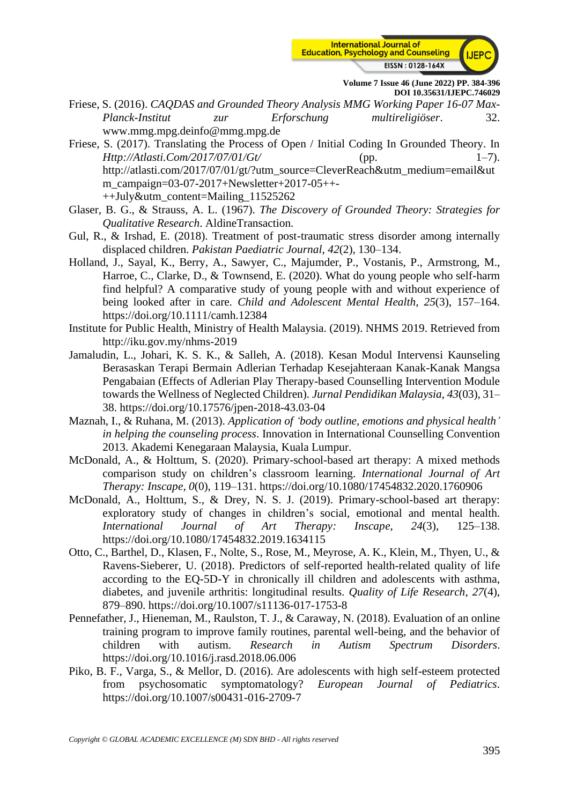

- Friese, S. (2016). *CAQDAS and Grounded Theory Analysis MMG Working Paper 16-07 Max-Planck-Institut zur Erforschung multireligiöser*. 32. www.mmg.mpg.deinfo@mmg.mpg.de
- Friese, S. (2017). Translating the Process of Open / Initial Coding In Grounded Theory. In *Http://Atlasti.Com/2017/07/01/Gt/* (pp. 1–7). http://atlasti.com/2017/07/01/gt/?utm\_source=CleverReach&utm\_medium=email&ut m\_campaign=03-07-2017+Newsletter+2017-05++- ++July&utm\_content=Mailing\_11525262
- Glaser, B. G., & Strauss, A. L. (1967). *The Discovery of Grounded Theory: Strategies for Qualitative Research*. AldineTransaction.
- Gul, R., & Irshad, E. (2018). Treatment of post-traumatic stress disorder among internally displaced children. *Pakistan Paediatric Journal*, *42*(2), 130–134.
- Holland, J., Sayal, K., Berry, A., Sawyer, C., Majumder, P., Vostanis, P., Armstrong, M., Harroe, C., Clarke, D., & Townsend, E. (2020). What do young people who self-harm find helpful? A comparative study of young people with and without experience of being looked after in care. *Child and Adolescent Mental Health*, *25*(3), 157–164. https://doi.org/10.1111/camh.12384
- Institute for Public Health, Ministry of Health Malaysia. (2019). NHMS 2019. Retrieved from http://iku.gov.my/nhms-2019
- Jamaludin, L., Johari, K. S. K., & Salleh, A. (2018). Kesan Modul Intervensi Kaunseling Berasaskan Terapi Bermain Adlerian Terhadap Kesejahteraan Kanak-Kanak Mangsa Pengabaian (Effects of Adlerian Play Therapy-based Counselling Intervention Module towards the Wellness of Neglected Children). *Jurnal Pendidikan Malaysia*, *43*(03), 31– 38. https://doi.org/10.17576/jpen-2018-43.03-04
- Maznah, I., & Ruhana, M. (2013). *Application of 'body outline, emotions and physical health' in helping the counseling process*. Innovation in International Counselling Convention 2013. Akademi Kenegaraan Malaysia, Kuala Lumpur.
- McDonald, A., & Holttum, S. (2020). Primary-school-based art therapy: A mixed methods comparison study on children's classroom learning. *International Journal of Art Therapy: Inscape*, *0*(0), 119–131. https://doi.org/10.1080/17454832.2020.1760906
- McDonald, A., Holttum, S., & Drey, N. S. J. (2019). Primary-school-based art therapy: exploratory study of changes in children's social, emotional and mental health. *International Journal of Art Therapy: Inscape*, *24*(3), 125–138. https://doi.org/10.1080/17454832.2019.1634115
- Otto, C., Barthel, D., Klasen, F., Nolte, S., Rose, M., Meyrose, A. K., Klein, M., Thyen, U., & Ravens-Sieberer, U. (2018). Predictors of self-reported health-related quality of life according to the EQ-5D-Y in chronically ill children and adolescents with asthma, diabetes, and juvenile arthritis: longitudinal results. *Quality of Life Research*, *27*(4), 879–890. https://doi.org/10.1007/s11136-017-1753-8
- Pennefather, J., Hieneman, M., Raulston, T. J., & Caraway, N. (2018). Evaluation of an online training program to improve family routines, parental well-being, and the behavior of children with autism. *Research in Autism Spectrum Disorders*. https://doi.org/10.1016/j.rasd.2018.06.006
- Piko, B. F., Varga, S., & Mellor, D. (2016). Are adolescents with high self-esteem protected from psychosomatic symptomatology? *European Journal of Pediatrics*. https://doi.org/10.1007/s00431-016-2709-7